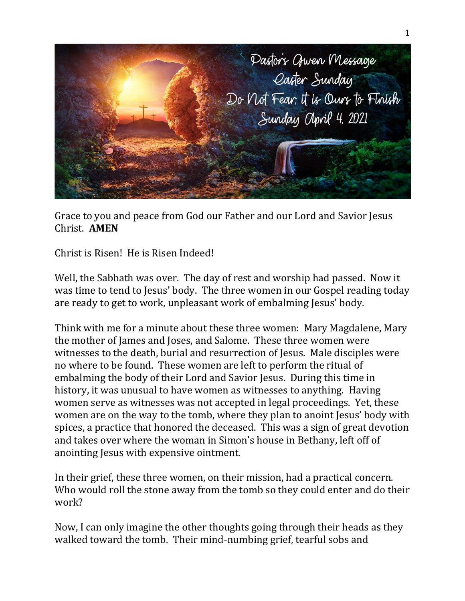

Grace to you and peace from God our Father and our Lord and Savior Jesus Christ. **AMEN**

Christ is Risen! He is Risen Indeed!

Well, the Sabbath was over. The day of rest and worship had passed. Now it was time to tend to Jesus' body. The three women in our Gospel reading today are ready to get to work, unpleasant work of embalming Jesus' body.

Think with me for a minute about these three women: Mary Magdalene, Mary the mother of James and Joses, and Salome. These three women were witnesses to the death, burial and resurrection of Jesus. Male disciples were no where to be found. These women are left to perform the ritual of embalming the body of their Lord and Savior Jesus. During this time in history, it was unusual to have women as witnesses to anything. Having women serve as witnesses was not accepted in legal proceedings. Yet, these women are on the way to the tomb, where they plan to anoint Jesus' body with spices, a practice that honored the deceased. This was a sign of great devotion and takes over where the woman in Simon's house in Bethany, left off of anointing Jesus with expensive ointment.

In their grief, these three women, on their mission, had a practical concern. Who would roll the stone away from the tomb so they could enter and do their work?

Now, I can only imagine the other thoughts going through their heads as they walked toward the tomb. Their mind-numbing grief, tearful sobs and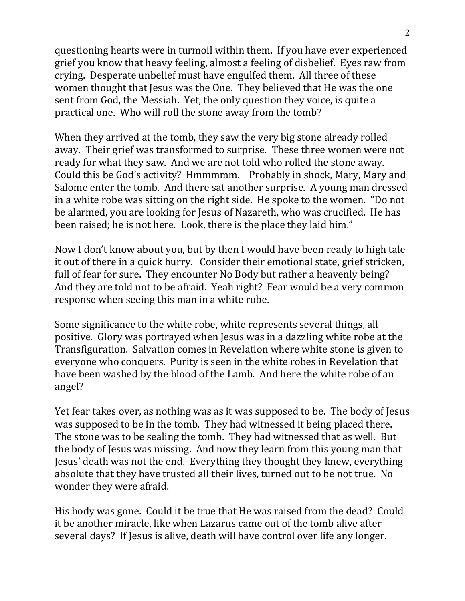questioning hearts were in turmoil within them. If you have ever experienced grief you know that heavy feeling, almost a feeling of disbelief. Eyes raw from crying. Desperate unbelief must have engulfed them. All three of these women thought that Jesus was the One. They believed that He was the one sent from God, the Messiah. Yet, the only question they voice, is quite a practical one. Who will roll the stone away from the tomb?

When they arrived at the tomb, they saw the very big stone already rolled away. Their grief was transformed to surprise. These three women were not ready for what they saw. And we are not told who rolled the stone away. Could this be God's activity? Hmmmmm. Probably in shock, Mary, Mary and Salome enter the tomb. And there sat another surprise. A young man dressed in a white robe was sitting on the right side. He spoke to the women. "Do not be alarmed, you are looking for Jesus of Nazareth, who was crucified. He has been raised; he is not here. Look, there is the place they laid him."

Now I don't know about you, but by then I would have been ready to high tale it out of there in a quick hurry. Consider their emotional state, grief stricken, full of fear for sure. They encounter No Body but rather a heavenly being? And they are told not to be afraid. Yeah right? Fear would be a very common response when seeing this man in a white robe.

Some significance to the white robe, white represents several things, all positive. Glory was portrayed when Jesus was in a dazzling white robe at the Transfiguration. Salvation comes in Revelation where white stone is given to everyone who conquers. Purity is seen in the white robes in Revelation that have been washed by the blood of the Lamb. And here the white robe of an angel?

Yet fear takes over, as nothing was as it was supposed to be. The body of Jesus was supposed to be in the tomb. They had witnessed it being placed there. The stone was to be sealing the tomb. They had witnessed that as well. But the body of Jesus was missing. And now they learn from this young man that Jesus' death was not the end. Everything they thought they knew, everything absolute that they have trusted all their lives, turned out to be not true. No wonder they were afraid.

His body was gone. Could it be true that He was raised from the dead? Could it be another miracle, like when Lazarus came out of the tomb alive after several days? If Jesus is alive, death will have control over life any longer.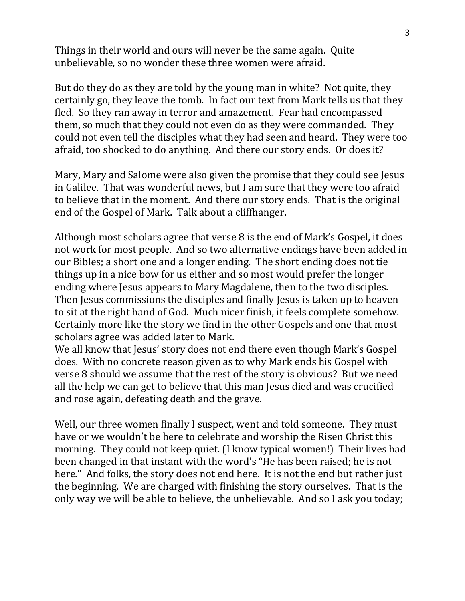Things in their world and ours will never be the same again. Quite unbelievable, so no wonder these three women were afraid.

But do they do as they are told by the young man in white? Not quite, they certainly go, they leave the tomb. In fact our text from Mark tells us that they fled. So they ran away in terror and amazement. Fear had encompassed them, so much that they could not even do as they were commanded. They could not even tell the disciples what they had seen and heard. They were too afraid, too shocked to do anything. And there our story ends. Or does it?

Mary, Mary and Salome were also given the promise that they could see Jesus in Galilee. That was wonderful news, but I am sure that they were too afraid to believe that in the moment. And there our story ends. That is the original end of the Gospel of Mark. Talk about a cliffhanger.

Although most scholars agree that verse 8 is the end of Mark's Gospel, it does not work for most people. And so two alternative endings have been added in our Bibles; a short one and a longer ending. The short ending does not tie things up in a nice bow for us either and so most would prefer the longer ending where Jesus appears to Mary Magdalene, then to the two disciples. Then Jesus commissions the disciples and finally Jesus is taken up to heaven to sit at the right hand of God. Much nicer finish, it feels complete somehow. Certainly more like the story we find in the other Gospels and one that most scholars agree was added later to Mark.

We all know that Jesus' story does not end there even though Mark's Gospel does. With no concrete reason given as to why Mark ends his Gospel with verse 8 should we assume that the rest of the story is obvious? But we need all the help we can get to believe that this man Jesus died and was crucified and rose again, defeating death and the grave.

Well, our three women finally I suspect, went and told someone. They must have or we wouldn't be here to celebrate and worship the Risen Christ this morning. They could not keep quiet. (I know typical women!) Their lives had been changed in that instant with the word's "He has been raised; he is not here." And folks, the story does not end here. It is not the end but rather just the beginning. We are charged with finishing the story ourselves. That is the only way we will be able to believe, the unbelievable. And so I ask you today;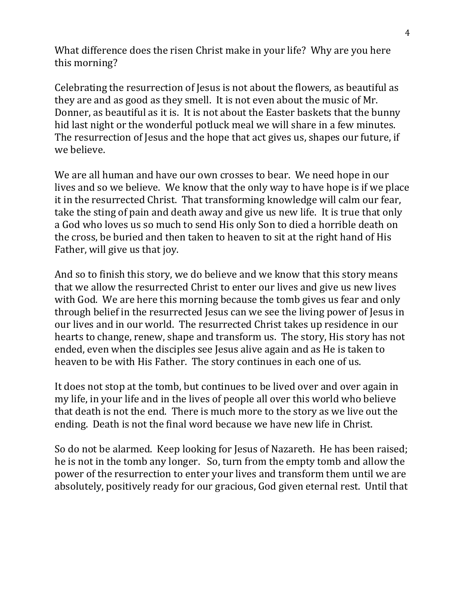What difference does the risen Christ make in your life? Why are you here this morning?

Celebrating the resurrection of Jesus is not about the flowers, as beautiful as they are and as good as they smell. It is not even about the music of Mr. Donner, as beautiful as it is. It is not about the Easter baskets that the bunny hid last night or the wonderful potluck meal we will share in a few minutes. The resurrection of Jesus and the hope that act gives us, shapes our future, if we believe.

We are all human and have our own crosses to bear. We need hope in our lives and so we believe. We know that the only way to have hope is if we place it in the resurrected Christ. That transforming knowledge will calm our fear, take the sting of pain and death away and give us new life. It is true that only a God who loves us so much to send His only Son to died a horrible death on the cross, be buried and then taken to heaven to sit at the right hand of His Father, will give us that joy.

And so to finish this story, we do believe and we know that this story means that we allow the resurrected Christ to enter our lives and give us new lives with God. We are here this morning because the tomb gives us fear and only through belief in the resurrected Jesus can we see the living power of Jesus in our lives and in our world. The resurrected Christ takes up residence in our hearts to change, renew, shape and transform us. The story, His story has not ended, even when the disciples see Jesus alive again and as He is taken to heaven to be with His Father. The story continues in each one of us.

It does not stop at the tomb, but continues to be lived over and over again in my life, in your life and in the lives of people all over this world who believe that death is not the end. There is much more to the story as we live out the ending. Death is not the final word because we have new life in Christ.

So do not be alarmed. Keep looking for Jesus of Nazareth. He has been raised; he is not in the tomb any longer. So, turn from the empty tomb and allow the power of the resurrection to enter your lives and transform them until we are absolutely, positively ready for our gracious, God given eternal rest. Until that